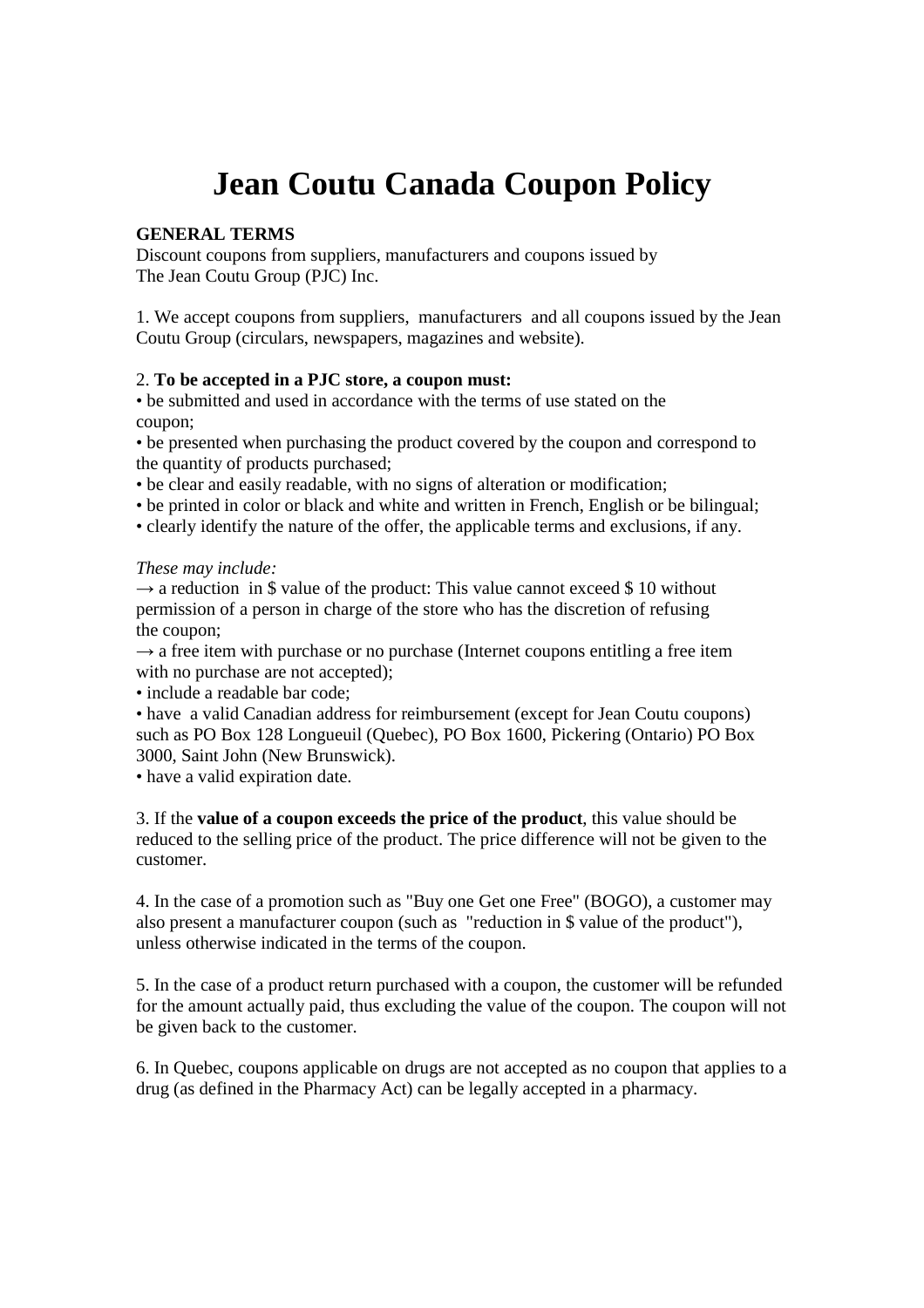# **Jean Coutu Canada Coupon Policy**

### **GENERAL TERMS**

Discount coupons from suppliers, manufacturers and coupons issued by The Jean Coutu Group (PJC) Inc.

1. We accept coupons from suppliers, manufacturers and all coupons issued by the Jean Coutu Group (circulars, newspapers, magazines and website).

### 2. **To be accepted in a PJC store, a coupon must:**

• be submitted and used in accordance with the terms of use stated on the coupon;

• be presented when purchasing the product covered by the coupon and correspond to the quantity of products purchased;

• be clear and easily readable, with no signs of alteration or modification;

• be printed in color or black and white and written in French, English or be bilingual;

• clearly identify the nature of the offer, the applicable terms and exclusions, if any.

### *These may include:*

 $\rightarrow$  a reduction in \$ value of the product: This value cannot exceed \$ 10 without permission of a person in charge of the store who has the discretion of refusing the coupon;

 $\rightarrow$  a free item with purchase or no purchase (Internet coupons entitling a free item with no purchase are not accepted):

• include a readable bar code;

• have a valid Canadian address for reimbursement (except for Jean Coutu coupons) such as PO Box 128 Longueuil (Quebec), PO Box 1600, Pickering (Ontario) PO Box 3000, Saint John (New Brunswick).

• have a valid expiration date.

3. If the **value of a coupon exceeds the price of the product**, this value should be reduced to the selling price of the product. The price difference will not be given to the customer.

4. In the case of a promotion such as "Buy one Get one Free" (BOGO), a customer may also present a manufacturer coupon (such as "reduction in \$ value of the product"), unless otherwise indicated in the terms of the coupon.

5. In the case of a product return purchased with a coupon, the customer will be refunded for the amount actually paid, thus excluding the value of the coupon. The coupon will not be given back to the customer.

6. In Quebec, coupons applicable on drugs are not accepted as no coupon that applies to a drug (as defined in the Pharmacy Act) can be legally accepted in a pharmacy.